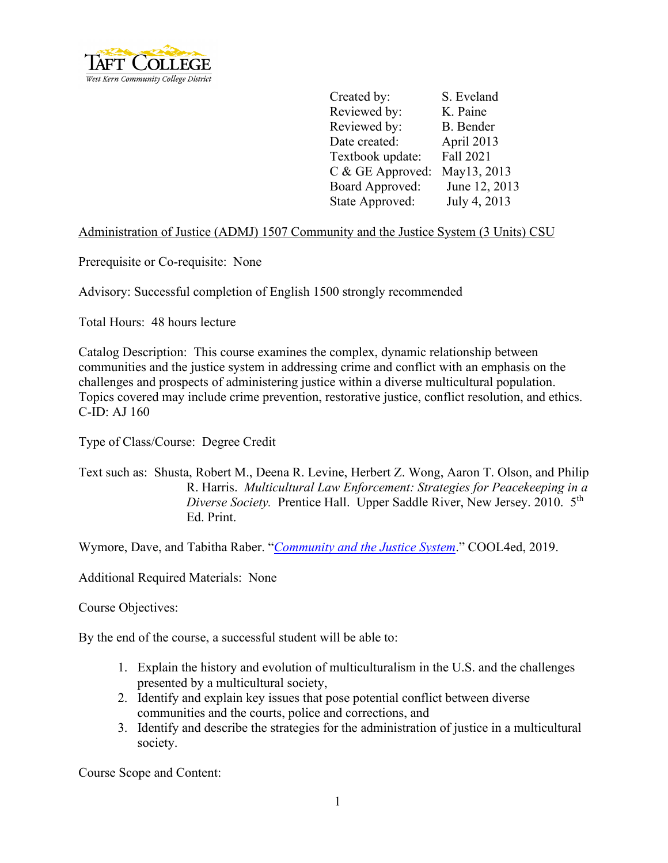

Created by: S. Eveland Reviewed by: K. Paine Reviewed by: B. Bender Date created: April 2013 Textbook update: Fall 2021 C & GE Approved: May13, 2013 Board Approved: June 12, 2013 State Approved: July 4, 2013

Administration of Justice (ADMJ) 1507 Community and the Justice System (3 Units) CSU

Prerequisite or Co-requisite: None

Advisory: Successful completion of English 1500 strongly recommended

Total Hours: 48 hours lecture

Catalog Description: This course examines the complex, dynamic relationship between communities and the justice system in addressing crime and conflict with an emphasis on the challenges and prospects of administering justice within a diverse multicultural population. Topics covered may include crime prevention, restorative justice, conflict resolution, and ethics. C-ID: AJ 160

Type of Class/Course: Degree Credit

Text such as: Shusta, Robert M., Deena R. Levine, Herbert Z. Wong, Aaron T. Olson, and Philip R. Harris. *Multicultural Law Enforcement: Strategies for Peacekeeping in a Diverse Society.* Prentice Hall. Upper Saddle River, New Jersey. 2010. 5th Ed. Print.

Wymore, Dave, and Tabitha Raber. "*[Community and the Justice System](http://cool4ed.calstate.edu/bitstream/handle/10211.3/216012/Community%20and%20the%20Justice%20System.pdf?sequence=1)*." COOL4ed, 2019.

Additional Required Materials: None

Course Objectives:

By the end of the course, a successful student will be able to:

- 1. Explain the history and evolution of multiculturalism in the U.S. and the challenges presented by a multicultural society,
- 2. Identify and explain key issues that pose potential conflict between diverse communities and the courts, police and corrections, and
- 3. Identify and describe the strategies for the administration of justice in a multicultural society.

Course Scope and Content: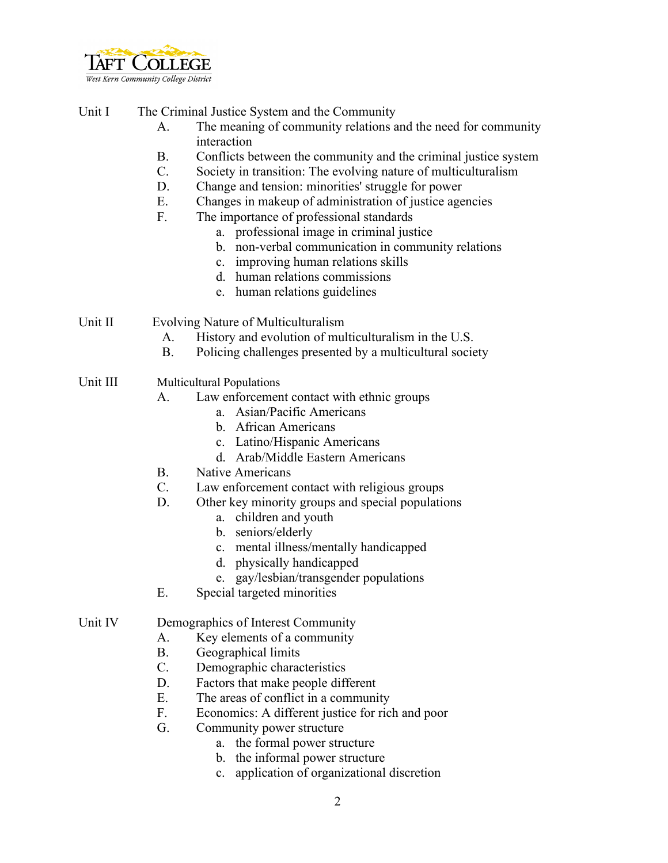

Unit I The Criminal Justice System and the Community

- A. The meaning of community relations and the need for community interaction
- B. Conflicts between the community and the criminal justice system
- C. Society in transition: The evolving nature of multiculturalism
- D. Change and tension: minorities' struggle for power
- E. Changes in makeup of administration of justice agencies
- F. The importance of professional standards
	- a. professional image in criminal justice
	- b. non-verbal communication in community relations
	- c. improving human relations skills
	- d. human relations commissions
	- e. human relations guidelines

Unit II Evolving Nature of Multiculturalism

- A. History and evolution of multiculturalism in the U.S.
- B. Policing challenges presented by a multicultural society
- Unit III Multicultural Populations
	- A. Law enforcement contact with ethnic groups
		- a. Asian/Pacific Americans
		- b. African Americans
		- c. Latino/Hispanic Americans
		- d. Arab/Middle Eastern Americans
	- B. Native Americans
	- C. Law enforcement contact with religious groups
	- D. Other key minority groups and special populations
		- a. children and youth
		- b. seniors/elderly
		- c. mental illness/mentally handicapped
		- d. physically handicapped
		- e. gay/lesbian/transgender populations
	- E. Special targeted minorities

Unit IV Demographics of Interest Community

- A. Key elements of a community
- B. Geographical limits
- C. Demographic characteristics
- D. Factors that make people different
- E. The areas of conflict in a community
- F. Economics: A different justice for rich and poor
- G. Community power structure
	- a. the formal power structure
	- b. the informal power structure
	- c. application of organizational discretion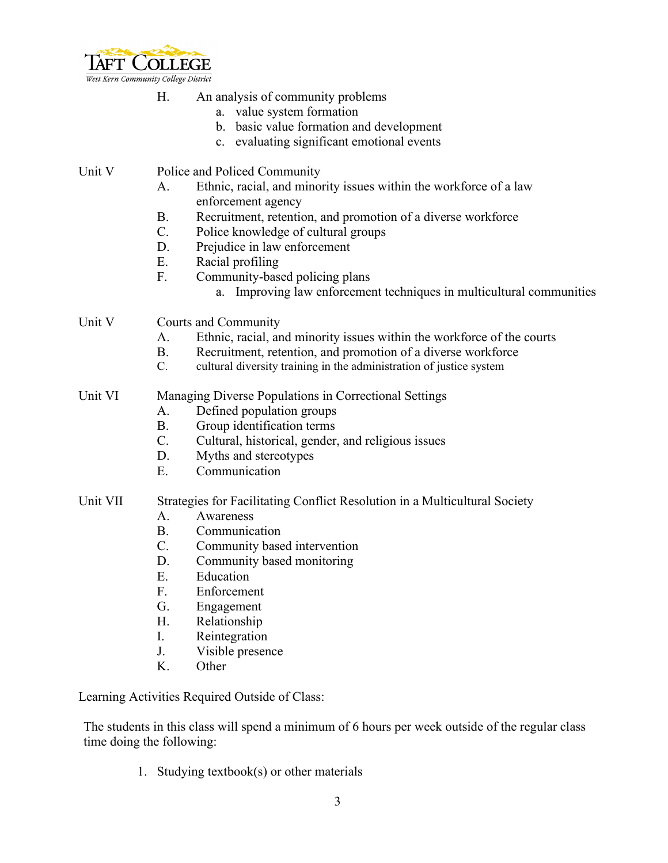

| Η. |  | An analysis of community problems |  |
|----|--|-----------------------------------|--|
|----|--|-----------------------------------|--|

- a. value system formation
- b. basic value formation and development
- c. evaluating significant emotional events

# Unit V Police and Policed Community

- A. Ethnic, racial, and minority issues within the workforce of a law enforcement agency
- B. Recruitment, retention, and promotion of a diverse workforce
- C. Police knowledge of cultural groups
- D. Prejudice in law enforcement
- E. Racial profiling
- F. Community-based policing plans
	- a. Improving law enforcement techniques in multicultural communities

## Unit V Courts and Community

- A. Ethnic, racial, and minority issues within the workforce of the courts
- B. Recruitment, retention, and promotion of a diverse workforce
- C. cultural diversity training in the administration of justice system

### Unit VI Managing Diverse Populations in Correctional Settings

- A. Defined population groups
- B. Group identification terms
- C. Cultural, historical, gender, and religious issues
- D. Myths and stereotypes
- E. Communication

## Unit VII Strategies for Facilitating Conflict Resolution in a Multicultural Society

- A. Awareness
- B. Communication
- C. Community based intervention
- D. Community based monitoring
- E. Education
- F. Enforcement
- G. Engagement
- H. Relationship
- I. Reintegration
- J. Visible presence
- K. Other

Learning Activities Required Outside of Class:

The students in this class will spend a minimum of 6 hours per week outside of the regular class time doing the following:

1. Studying textbook(s) or other materials